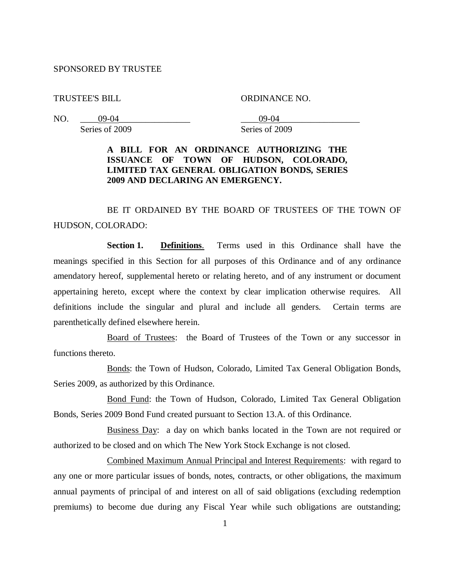#### SPONSORED BY TRUSTEE

TRUSTEE'S BILL ORDINANCE NO.

NO. <u>09-04</u> 2008 2009-04 Series of 2009 Series of 2009

## **A BILL FOR AN ORDINANCE AUTHORIZING THE ISSUANCE OF TOWN OF HUDSON, COLORADO, LIMITED TAX GENERAL OBLIGATION BONDS, SERIES 2009 AND DECLARING AN EMERGENCY.**

BE IT ORDAINED BY THE BOARD OF TRUSTEES OF THE TOWN OF HUDSON, COLORADO:

**Section 1. Definitions**. Terms used in this Ordinance shall have the meanings specified in this Section for all purposes of this Ordinance and of any ordinance amendatory hereof, supplemental hereto or relating hereto, and of any instrument or document appertaining hereto, except where the context by clear implication otherwise requires. All definitions include the singular and plural and include all genders. Certain terms are parenthetically defined elsewhere herein.

Board of Trustees: the Board of Trustees of the Town or any successor in functions thereto.

Bonds: the Town of Hudson, Colorado, Limited Tax General Obligation Bonds, Series 2009, as authorized by this Ordinance.

Bond Fund: the Town of Hudson, Colorado, Limited Tax General Obligation Bonds, Series 2009 Bond Fund created pursuant to Section 13.A. of this Ordinance.

Business Day: a day on which banks located in the Town are not required or authorized to be closed and on which The New York Stock Exchange is not closed.

Combined Maximum Annual Principal and Interest Requirements: with regard to any one or more particular issues of bonds, notes, contracts, or other obligations, the maximum annual payments of principal of and interest on all of said obligations (excluding redemption premiums) to become due during any Fiscal Year while such obligations are outstanding;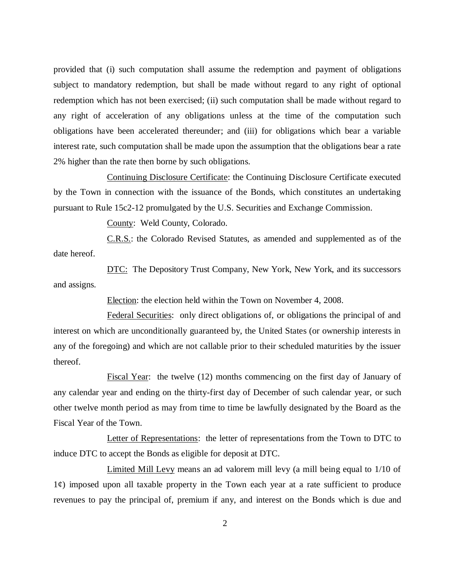provided that (i) such computation shall assume the redemption and payment of obligations subject to mandatory redemption, but shall be made without regard to any right of optional redemption which has not been exercised; (ii) such computation shall be made without regard to any right of acceleration of any obligations unless at the time of the computation such obligations have been accelerated thereunder; and (iii) for obligations which bear a variable interest rate, such computation shall be made upon the assumption that the obligations bear a rate 2% higher than the rate then borne by such obligations.

Continuing Disclosure Certificate: the Continuing Disclosure Certificate executed by the Town in connection with the issuance of the Bonds, which constitutes an undertaking pursuant to Rule 15c2-12 promulgated by the U.S. Securities and Exchange Commission.

County: Weld County, Colorado.

C.R.S.: the Colorado Revised Statutes, as amended and supplemented as of the date hereof.

DTC: The Depository Trust Company, New York, New York, and its successors and assigns.

Election: the election held within the Town on November 4, 2008.

Federal Securities: only direct obligations of, or obligations the principal of and interest on which are unconditionally guaranteed by, the United States (or ownership interests in any of the foregoing) and which are not callable prior to their scheduled maturities by the issuer thereof.

Fiscal Year: the twelve (12) months commencing on the first day of January of any calendar year and ending on the thirty-first day of December of such calendar year, or such other twelve month period as may from time to time be lawfully designated by the Board as the Fiscal Year of the Town.

Letter of Representations: the letter of representations from the Town to DTC to induce DTC to accept the Bonds as eligible for deposit at DTC.

Limited Mill Levy means an ad valorem mill levy (a mill being equal to 1/10 of 1¢) imposed upon all taxable property in the Town each year at a rate sufficient to produce revenues to pay the principal of, premium if any, and interest on the Bonds which is due and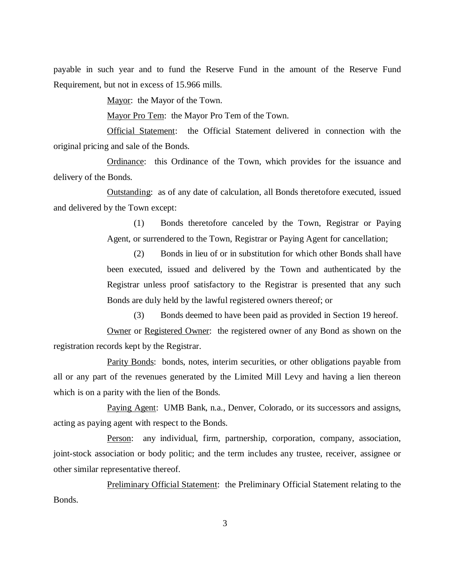payable in such year and to fund the Reserve Fund in the amount of the Reserve Fund Requirement, but not in excess of 15.966 mills.

Mayor: the Mayor of the Town.

Mayor Pro Tem: the Mayor Pro Tem of the Town.

Official Statement: the Official Statement delivered in connection with the original pricing and sale of the Bonds.

Ordinance: this Ordinance of the Town, which provides for the issuance and delivery of the Bonds.

Outstanding: as of any date of calculation, all Bonds theretofore executed, issued and delivered by the Town except:

> (1) Bonds theretofore canceled by the Town, Registrar or Paying Agent, or surrendered to the Town, Registrar or Paying Agent for cancellation;

> (2) Bonds in lieu of or in substitution for which other Bonds shall have been executed, issued and delivered by the Town and authenticated by the Registrar unless proof satisfactory to the Registrar is presented that any such Bonds are duly held by the lawful registered owners thereof; or

(3) Bonds deemed to have been paid as provided in Section 19 hereof.

Owner or Registered Owner: the registered owner of any Bond as shown on the registration records kept by the Registrar.

Parity Bonds: bonds, notes, interim securities, or other obligations payable from all or any part of the revenues generated by the Limited Mill Levy and having a lien thereon which is on a parity with the lien of the Bonds.

Paying Agent: UMB Bank, n.a., Denver, Colorado, or its successors and assigns, acting as paying agent with respect to the Bonds.

Person: any individual, firm, partnership, corporation, company, association, joint-stock association or body politic; and the term includes any trustee, receiver, assignee or other similar representative thereof.

Preliminary Official Statement: the Preliminary Official Statement relating to the Bonds.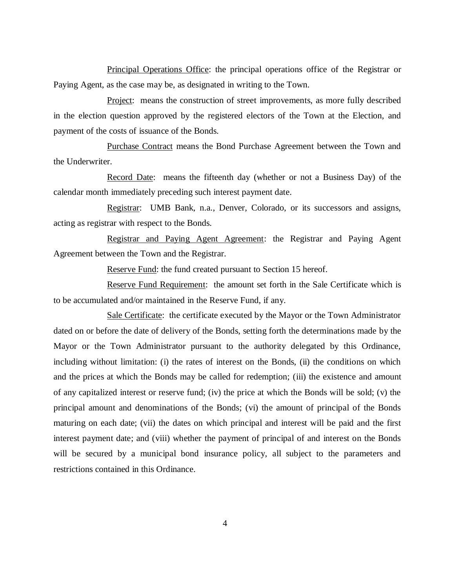Principal Operations Office: the principal operations office of the Registrar or Paying Agent, as the case may be, as designated in writing to the Town.

Project: means the construction of street improvements, as more fully described in the election question approved by the registered electors of the Town at the Election, and payment of the costs of issuance of the Bonds.

Purchase Contract means the Bond Purchase Agreement between the Town and the Underwriter.

Record Date: means the fifteenth day (whether or not a Business Day) of the calendar month immediately preceding such interest payment date.

Registrar: UMB Bank, n.a., Denver, Colorado, or its successors and assigns, acting as registrar with respect to the Bonds.

Registrar and Paying Agent Agreement: the Registrar and Paying Agent Agreement between the Town and the Registrar.

Reserve Fund: the fund created pursuant to Section 15 hereof.

Reserve Fund Requirement: the amount set forth in the Sale Certificate which is to be accumulated and/or maintained in the Reserve Fund, if any.

Sale Certificate: the certificate executed by the Mayor or the Town Administrator dated on or before the date of delivery of the Bonds, setting forth the determinations made by the Mayor or the Town Administrator pursuant to the authority delegated by this Ordinance, including without limitation: (i) the rates of interest on the Bonds, (ii) the conditions on which and the prices at which the Bonds may be called for redemption; (iii) the existence and amount of any capitalized interest or reserve fund; (iv) the price at which the Bonds will be sold; (v) the principal amount and denominations of the Bonds; (vi) the amount of principal of the Bonds maturing on each date; (vii) the dates on which principal and interest will be paid and the first interest payment date; and (viii) whether the payment of principal of and interest on the Bonds will be secured by a municipal bond insurance policy, all subject to the parameters and restrictions contained in this Ordinance.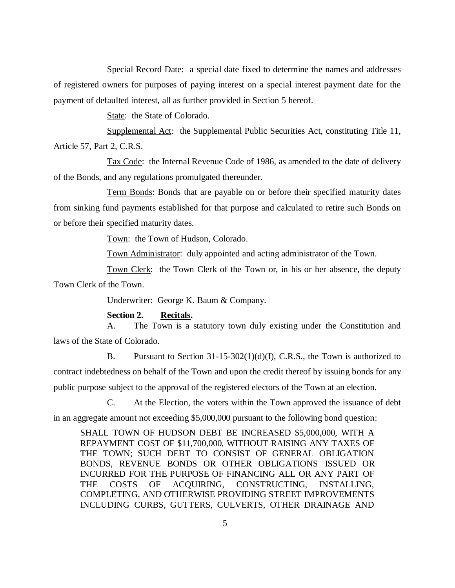Special Record Date: a special date fixed to determine the names and addresses of registered owners for purposes of paying interest on a special interest payment date for the payment of defaulted interest, all as further provided in Section 5 hereof.

State: the State of Colorado.

Supplemental Act: the Supplemental Public Securities Act, constituting Title 11, Article 57, Part 2, C.R.S.

Tax Code: the Internal Revenue Code of 1986, as amended to the date of delivery of the Bonds, and any regulations promulgated thereunder.

Term Bonds: Bonds that are payable on or before their specified maturity dates from sinking fund payments established for that purpose and calculated to retire such Bonds on or before their specified maturity dates.

Town: the Town of Hudson, Colorado.

Town Administrator: duly appointed and acting administrator of the Town.

Town Clerk: the Town Clerk of the Town or, in his or her absence, the deputy Town Clerk of the Town.

Underwriter: George K. Baum & Company.

#### **Section 2. Recitals.**

A. The Town is a statutory town duly existing under the Constitution and laws of the State of Colorado.

B. Pursuant to Section 31-15-302(1)(d)(I), C.R.S., the Town is authorized to contract indebtedness on behalf of the Town and upon the credit thereof by issuing bonds for any public purpose subject to the approval of the registered electors of the Town at an election.

C. At the Election, the voters within the Town approved the issuance of debt in an aggregate amount not exceeding \$5,000,000 pursuant to the following bond question:

SHALL TOWN OF HUDSON DEBT BE INCREASED \$5,000,000, WITH A REPAYMENT COST OF \$11,700,000, WITHOUT RAISING ANY TAXES OF THE TOWN; SUCH DEBT TO CONSIST OF GENERAL OBLIGATION BONDS, REVENUE BONDS OR OTHER OBLIGATIONS ISSUED OR INCURRED FOR THE PURPOSE OF FINANCING ALL OR ANY PART OF THE COSTS OF ACQUIRING, CONSTRUCTING, INSTALLING, COMPLETING, AND OTHERWISE PROVIDING STREET IMPROVEMENTS INCLUDING CURBS, GUTTERS, CULVERTS, OTHER DRAINAGE AND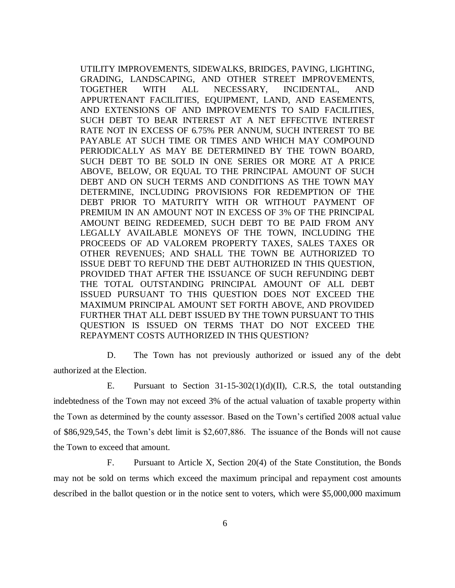UTILITY IMPROVEMENTS, SIDEWALKS, BRIDGES, PAVING, LIGHTING, GRADING, LANDSCAPING, AND OTHER STREET IMPROVEMENTS, TOGETHER WITH ALL NECESSARY, INCIDENTAL, AND APPURTENANT FACILITIES, EQUIPMENT, LAND, AND EASEMENTS, AND EXTENSIONS OF AND IMPROVEMENTS TO SAID FACILITIES, SUCH DEBT TO BEAR INTEREST AT A NET EFFECTIVE INTEREST RATE NOT IN EXCESS OF 6.75% PER ANNUM, SUCH INTEREST TO BE PAYABLE AT SUCH TIME OR TIMES AND WHICH MAY COMPOUND PERIODICALLY AS MAY BE DETERMINED BY THE TOWN BOARD, SUCH DEBT TO BE SOLD IN ONE SERIES OR MORE AT A PRICE ABOVE, BELOW, OR EQUAL TO THE PRINCIPAL AMOUNT OF SUCH DEBT AND ON SUCH TERMS AND CONDITIONS AS THE TOWN MAY DETERMINE, INCLUDING PROVISIONS FOR REDEMPTION OF THE DEBT PRIOR TO MATURITY WITH OR WITHOUT PAYMENT OF PREMIUM IN AN AMOUNT NOT IN EXCESS OF 3% OF THE PRINCIPAL AMOUNT BEING REDEEMED, SUCH DEBT TO BE PAID FROM ANY LEGALLY AVAILABLE MONEYS OF THE TOWN, INCLUDING THE PROCEEDS OF AD VALOREM PROPERTY TAXES, SALES TAXES OR OTHER REVENUES; AND SHALL THE TOWN BE AUTHORIZED TO ISSUE DEBT TO REFUND THE DEBT AUTHORIZED IN THIS QUESTION, PROVIDED THAT AFTER THE ISSUANCE OF SUCH REFUNDING DEBT THE TOTAL OUTSTANDING PRINCIPAL AMOUNT OF ALL DEBT ISSUED PURSUANT TO THIS QUESTION DOES NOT EXCEED THE MAXIMUM PRINCIPAL AMOUNT SET FORTH ABOVE, AND PROVIDED FURTHER THAT ALL DEBT ISSUED BY THE TOWN PURSUANT TO THIS QUESTION IS ISSUED ON TERMS THAT DO NOT EXCEED THE REPAYMENT COSTS AUTHORIZED IN THIS QUESTION?

D. The Town has not previously authorized or issued any of the debt authorized at the Election.

E. Pursuant to Section  $31-15-302(1)(d)(II)$ , C.R.S, the total outstanding indebtedness of the Town may not exceed 3% of the actual valuation of taxable property within the Town as determined by the county assessor. Based on the Town's certified 2008 actual value of \$86,929,545, the Town's debt limit is \$2,607,886. The issuance of the Bonds will not cause the Town to exceed that amount.

F. Pursuant to Article X, Section 20(4) of the State Constitution, the Bonds may not be sold on terms which exceed the maximum principal and repayment cost amounts described in the ballot question or in the notice sent to voters, which were \$5,000,000 maximum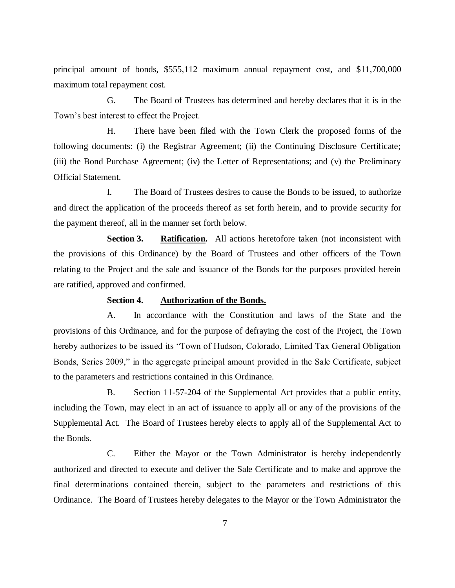principal amount of bonds, \$555,112 maximum annual repayment cost, and \$11,700,000 maximum total repayment cost.

G. The Board of Trustees has determined and hereby declares that it is in the Town's best interest to effect the Project.

H. There have been filed with the Town Clerk the proposed forms of the following documents: (i) the Registrar Agreement; (ii) the Continuing Disclosure Certificate; (iii) the Bond Purchase Agreement; (iv) the Letter of Representations; and (v) the Preliminary Official Statement.

I. The Board of Trustees desires to cause the Bonds to be issued, to authorize and direct the application of the proceeds thereof as set forth herein, and to provide security for the payment thereof, all in the manner set forth below.

**Section 3. Ratification.** All actions heretofore taken (not inconsistent with the provisions of this Ordinance) by the Board of Trustees and other officers of the Town relating to the Project and the sale and issuance of the Bonds for the purposes provided herein are ratified, approved and confirmed.

#### **Section 4. Authorization of the Bonds.**

A. In accordance with the Constitution and laws of the State and the provisions of this Ordinance, and for the purpose of defraying the cost of the Project, the Town hereby authorizes to be issued its "Town of Hudson, Colorado, Limited Tax General Obligation Bonds, Series 2009," in the aggregate principal amount provided in the Sale Certificate, subject to the parameters and restrictions contained in this Ordinance.

B. Section 11-57-204 of the Supplemental Act provides that a public entity, including the Town, may elect in an act of issuance to apply all or any of the provisions of the Supplemental Act. The Board of Trustees hereby elects to apply all of the Supplemental Act to the Bonds.

C. Either the Mayor or the Town Administrator is hereby independently authorized and directed to execute and deliver the Sale Certificate and to make and approve the final determinations contained therein, subject to the parameters and restrictions of this Ordinance. The Board of Trustees hereby delegates to the Mayor or the Town Administrator the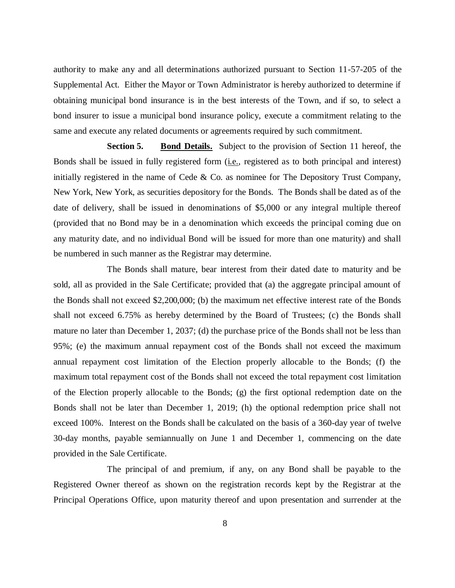authority to make any and all determinations authorized pursuant to Section 11-57-205 of the Supplemental Act. Either the Mayor or Town Administrator is hereby authorized to determine if obtaining municipal bond insurance is in the best interests of the Town, and if so, to select a bond insurer to issue a municipal bond insurance policy, execute a commitment relating to the same and execute any related documents or agreements required by such commitment.

**Section 5. Bond Details.** Subject to the provision of Section 11 hereof, the Bonds shall be issued in fully registered form (i.e., registered as to both principal and interest) initially registered in the name of Cede & Co. as nominee for The Depository Trust Company, New York, New York, as securities depository for the Bonds. The Bonds shall be dated as of the date of delivery, shall be issued in denominations of \$5,000 or any integral multiple thereof (provided that no Bond may be in a denomination which exceeds the principal coming due on any maturity date, and no individual Bond will be issued for more than one maturity) and shall be numbered in such manner as the Registrar may determine.

The Bonds shall mature, bear interest from their dated date to maturity and be sold, all as provided in the Sale Certificate; provided that (a) the aggregate principal amount of the Bonds shall not exceed \$2,200,000; (b) the maximum net effective interest rate of the Bonds shall not exceed 6.75% as hereby determined by the Board of Trustees; (c) the Bonds shall mature no later than December 1, 2037; (d) the purchase price of the Bonds shall not be less than 95%; (e) the maximum annual repayment cost of the Bonds shall not exceed the maximum annual repayment cost limitation of the Election properly allocable to the Bonds; (f) the maximum total repayment cost of the Bonds shall not exceed the total repayment cost limitation of the Election properly allocable to the Bonds; (g) the first optional redemption date on the Bonds shall not be later than December 1, 2019; (h) the optional redemption price shall not exceed 100%. Interest on the Bonds shall be calculated on the basis of a 360-day year of twelve 30-day months, payable semiannually on June 1 and December 1, commencing on the date provided in the Sale Certificate.

The principal of and premium, if any, on any Bond shall be payable to the Registered Owner thereof as shown on the registration records kept by the Registrar at the Principal Operations Office, upon maturity thereof and upon presentation and surrender at the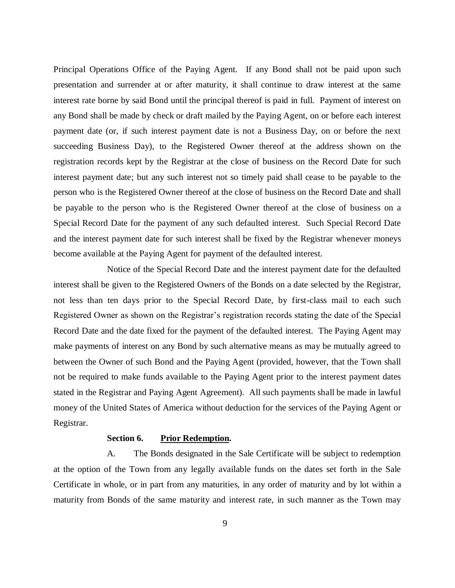Principal Operations Office of the Paying Agent. If any Bond shall not be paid upon such presentation and surrender at or after maturity, it shall continue to draw interest at the same interest rate borne by said Bond until the principal thereof is paid in full. Payment of interest on any Bond shall be made by check or draft mailed by the Paying Agent, on or before each interest payment date (or, if such interest payment date is not a Business Day, on or before the next succeeding Business Day), to the Registered Owner thereof at the address shown on the registration records kept by the Registrar at the close of business on the Record Date for such interest payment date; but any such interest not so timely paid shall cease to be payable to the person who is the Registered Owner thereof at the close of business on the Record Date and shall be payable to the person who is the Registered Owner thereof at the close of business on a Special Record Date for the payment of any such defaulted interest. Such Special Record Date and the interest payment date for such interest shall be fixed by the Registrar whenever moneys become available at the Paying Agent for payment of the defaulted interest.

Notice of the Special Record Date and the interest payment date for the defaulted interest shall be given to the Registered Owners of the Bonds on a date selected by the Registrar, not less than ten days prior to the Special Record Date, by first-class mail to each such Registered Owner as shown on the Registrar's registration records stating the date of the Special Record Date and the date fixed for the payment of the defaulted interest. The Paying Agent may make payments of interest on any Bond by such alternative means as may be mutually agreed to between the Owner of such Bond and the Paying Agent (provided, however, that the Town shall not be required to make funds available to the Paying Agent prior to the interest payment dates stated in the Registrar and Paying Agent Agreement). All such payments shall be made in lawful money of the United States of America without deduction for the services of the Paying Agent or Registrar.

#### **Section 6. Prior Redemption.**

A. The Bonds designated in the Sale Certificate will be subject to redemption at the option of the Town from any legally available funds on the dates set forth in the Sale Certificate in whole, or in part from any maturities, in any order of maturity and by lot within a maturity from Bonds of the same maturity and interest rate, in such manner as the Town may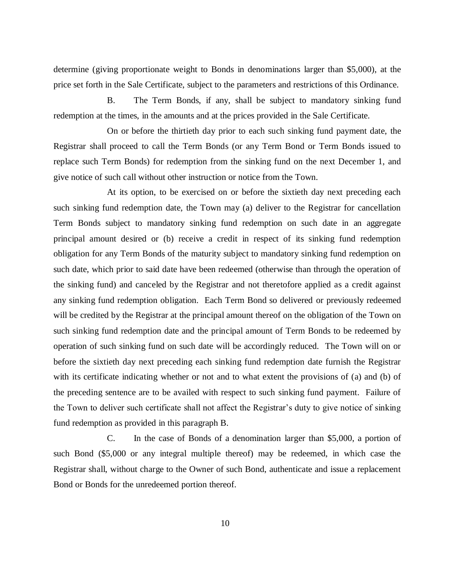determine (giving proportionate weight to Bonds in denominations larger than \$5,000), at the price set forth in the Sale Certificate, subject to the parameters and restrictions of this Ordinance.

B. The Term Bonds, if any, shall be subject to mandatory sinking fund redemption at the times, in the amounts and at the prices provided in the Sale Certificate.

On or before the thirtieth day prior to each such sinking fund payment date, the Registrar shall proceed to call the Term Bonds (or any Term Bond or Term Bonds issued to replace such Term Bonds) for redemption from the sinking fund on the next December 1, and give notice of such call without other instruction or notice from the Town.

At its option, to be exercised on or before the sixtieth day next preceding each such sinking fund redemption date, the Town may (a) deliver to the Registrar for cancellation Term Bonds subject to mandatory sinking fund redemption on such date in an aggregate principal amount desired or (b) receive a credit in respect of its sinking fund redemption obligation for any Term Bonds of the maturity subject to mandatory sinking fund redemption on such date, which prior to said date have been redeemed (otherwise than through the operation of the sinking fund) and canceled by the Registrar and not theretofore applied as a credit against any sinking fund redemption obligation. Each Term Bond so delivered or previously redeemed will be credited by the Registrar at the principal amount thereof on the obligation of the Town on such sinking fund redemption date and the principal amount of Term Bonds to be redeemed by operation of such sinking fund on such date will be accordingly reduced. The Town will on or before the sixtieth day next preceding each sinking fund redemption date furnish the Registrar with its certificate indicating whether or not and to what extent the provisions of (a) and (b) of the preceding sentence are to be availed with respect to such sinking fund payment. Failure of the Town to deliver such certificate shall not affect the Registrar's duty to give notice of sinking fund redemption as provided in this paragraph B.

C. In the case of Bonds of a denomination larger than \$5,000, a portion of such Bond (\$5,000 or any integral multiple thereof) may be redeemed, in which case the Registrar shall, without charge to the Owner of such Bond, authenticate and issue a replacement Bond or Bonds for the unredeemed portion thereof.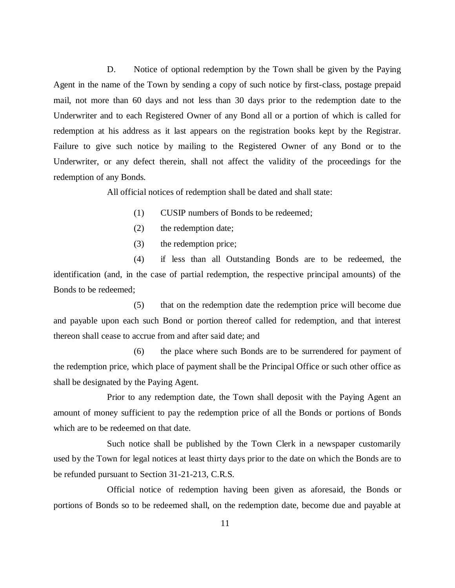D. Notice of optional redemption by the Town shall be given by the Paying Agent in the name of the Town by sending a copy of such notice by first-class, postage prepaid mail, not more than 60 days and not less than 30 days prior to the redemption date to the Underwriter and to each Registered Owner of any Bond all or a portion of which is called for redemption at his address as it last appears on the registration books kept by the Registrar. Failure to give such notice by mailing to the Registered Owner of any Bond or to the Underwriter, or any defect therein, shall not affect the validity of the proceedings for the redemption of any Bonds.

All official notices of redemption shall be dated and shall state:

(1) CUSIP numbers of Bonds to be redeemed;

- (2) the redemption date;
- (3) the redemption price;

(4) if less than all Outstanding Bonds are to be redeemed, the identification (and, in the case of partial redemption, the respective principal amounts) of the Bonds to be redeemed;

(5) that on the redemption date the redemption price will become due and payable upon each such Bond or portion thereof called for redemption, and that interest thereon shall cease to accrue from and after said date; and

(6) the place where such Bonds are to be surrendered for payment of the redemption price, which place of payment shall be the Principal Office or such other office as shall be designated by the Paying Agent.

Prior to any redemption date, the Town shall deposit with the Paying Agent an amount of money sufficient to pay the redemption price of all the Bonds or portions of Bonds which are to be redeemed on that date.

Such notice shall be published by the Town Clerk in a newspaper customarily used by the Town for legal notices at least thirty days prior to the date on which the Bonds are to be refunded pursuant to Section 31-21-213, C.R.S.

Official notice of redemption having been given as aforesaid, the Bonds or portions of Bonds so to be redeemed shall, on the redemption date, become due and payable at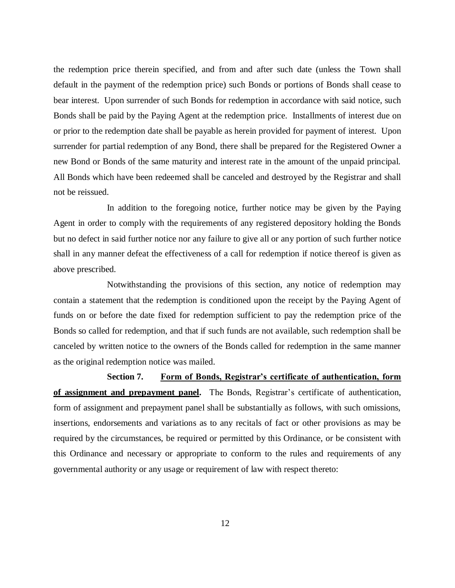the redemption price therein specified, and from and after such date (unless the Town shall default in the payment of the redemption price) such Bonds or portions of Bonds shall cease to bear interest. Upon surrender of such Bonds for redemption in accordance with said notice, such Bonds shall be paid by the Paying Agent at the redemption price. Installments of interest due on or prior to the redemption date shall be payable as herein provided for payment of interest. Upon surrender for partial redemption of any Bond, there shall be prepared for the Registered Owner a new Bond or Bonds of the same maturity and interest rate in the amount of the unpaid principal. All Bonds which have been redeemed shall be canceled and destroyed by the Registrar and shall not be reissued.

In addition to the foregoing notice, further notice may be given by the Paying Agent in order to comply with the requirements of any registered depository holding the Bonds but no defect in said further notice nor any failure to give all or any portion of such further notice shall in any manner defeat the effectiveness of a call for redemption if notice thereof is given as above prescribed.

Notwithstanding the provisions of this section, any notice of redemption may contain a statement that the redemption is conditioned upon the receipt by the Paying Agent of funds on or before the date fixed for redemption sufficient to pay the redemption price of the Bonds so called for redemption, and that if such funds are not available, such redemption shall be canceled by written notice to the owners of the Bonds called for redemption in the same manner as the original redemption notice was mailed.

**Section 7. Form of Bonds, Registrar's certificate of authentication, form of assignment and prepayment panel.** The Bonds, Registrar's certificate of authentication, form of assignment and prepayment panel shall be substantially as follows, with such omissions, insertions, endorsements and variations as to any recitals of fact or other provisions as may be required by the circumstances, be required or permitted by this Ordinance, or be consistent with this Ordinance and necessary or appropriate to conform to the rules and requirements of any governmental authority or any usage or requirement of law with respect thereto: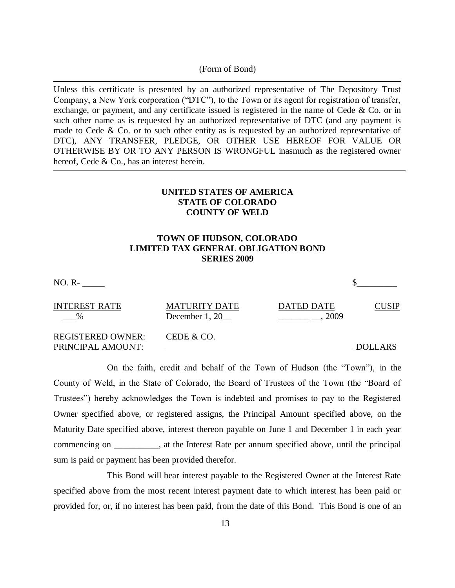(Form of Bond)

Unless this certificate is presented by an authorized representative of The Depository Trust Company, a New York corporation ("DTC"), to the Town or its agent for registration of transfer, exchange, or payment, and any certificate issued is registered in the name of Cede & Co. or in such other name as is requested by an authorized representative of DTC (and any payment is made to Cede  $\&$  Co. or to such other entity as is requested by an authorized representative of DTC), ANY TRANSFER, PLEDGE, OR OTHER USE HEREOF FOR VALUE OR OTHERWISE BY OR TO ANY PERSON IS WRONGFUL inasmuch as the registered owner hereof. Cede & Co., has an interest herein.

## **UNITED STATES OF AMERICA STATE OF COLORADO COUNTY OF WELD**

## **TOWN OF HUDSON, COLORADO LIMITED TAX GENERAL OBLIGATION BOND SERIES 2009**

| NO. R-                                        |                                        |                    |                |
|-----------------------------------------------|----------------------------------------|--------------------|----------------|
| <b>INTEREST RATE</b><br>$\%$                  | <b>MATURITY DATE</b><br>December 1, 20 | DATED DATE<br>2009 | CUSIP          |
| <b>REGISTERED OWNER:</b><br>PRINCIPAL AMOUNT: | CEDE & CO.                             |                    | <b>DOLLARS</b> |

On the faith, credit and behalf of the Town of Hudson (the "Town"), in the County of Weld, in the State of Colorado, the Board of Trustees of the Town (the "Board of Trustees") hereby acknowledges the Town is indebted and promises to pay to the Registered Owner specified above, or registered assigns, the Principal Amount specified above, on the Maturity Date specified above, interest thereon payable on June 1 and December 1 in each year commencing on \_\_\_\_\_\_\_\_\_\_, at the Interest Rate per annum specified above, until the principal sum is paid or payment has been provided therefor.

This Bond will bear interest payable to the Registered Owner at the Interest Rate specified above from the most recent interest payment date to which interest has been paid or provided for, or, if no interest has been paid, from the date of this Bond. This Bond is one of an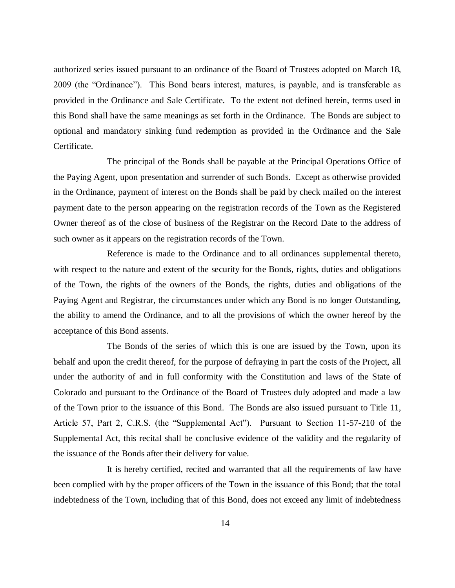authorized series issued pursuant to an ordinance of the Board of Trustees adopted on March 18, 2009 (the "Ordinance"). This Bond bears interest, matures, is payable, and is transferable as provided in the Ordinance and Sale Certificate. To the extent not defined herein, terms used in this Bond shall have the same meanings as set forth in the Ordinance. The Bonds are subject to optional and mandatory sinking fund redemption as provided in the Ordinance and the Sale Certificate.

The principal of the Bonds shall be payable at the Principal Operations Office of the Paying Agent, upon presentation and surrender of such Bonds. Except as otherwise provided in the Ordinance, payment of interest on the Bonds shall be paid by check mailed on the interest payment date to the person appearing on the registration records of the Town as the Registered Owner thereof as of the close of business of the Registrar on the Record Date to the address of such owner as it appears on the registration records of the Town.

Reference is made to the Ordinance and to all ordinances supplemental thereto, with respect to the nature and extent of the security for the Bonds, rights, duties and obligations of the Town, the rights of the owners of the Bonds, the rights, duties and obligations of the Paying Agent and Registrar, the circumstances under which any Bond is no longer Outstanding, the ability to amend the Ordinance, and to all the provisions of which the owner hereof by the acceptance of this Bond assents.

The Bonds of the series of which this is one are issued by the Town, upon its behalf and upon the credit thereof, for the purpose of defraying in part the costs of the Project, all under the authority of and in full conformity with the Constitution and laws of the State of Colorado and pursuant to the Ordinance of the Board of Trustees duly adopted and made a law of the Town prior to the issuance of this Bond. The Bonds are also issued pursuant to Title 11, Article 57, Part 2, C.R.S. (the "Supplemental Act"). Pursuant to Section 11-57-210 of the Supplemental Act, this recital shall be conclusive evidence of the validity and the regularity of the issuance of the Bonds after their delivery for value.

It is hereby certified, recited and warranted that all the requirements of law have been complied with by the proper officers of the Town in the issuance of this Bond; that the total indebtedness of the Town, including that of this Bond, does not exceed any limit of indebtedness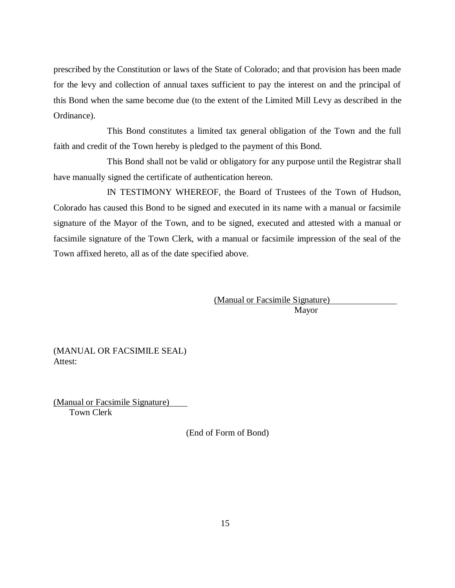prescribed by the Constitution or laws of the State of Colorado; and that provision has been made for the levy and collection of annual taxes sufficient to pay the interest on and the principal of this Bond when the same become due (to the extent of the Limited Mill Levy as described in the Ordinance).

This Bond constitutes a limited tax general obligation of the Town and the full faith and credit of the Town hereby is pledged to the payment of this Bond.

This Bond shall not be valid or obligatory for any purpose until the Registrar shall have manually signed the certificate of authentication hereon.

IN TESTIMONY WHEREOF, the Board of Trustees of the Town of Hudson, Colorado has caused this Bond to be signed and executed in its name with a manual or facsimile signature of the Mayor of the Town, and to be signed, executed and attested with a manual or facsimile signature of the Town Clerk, with a manual or facsimile impression of the seal of the Town affixed hereto, all as of the date specified above.

> (Manual or Facsimile Signature) Mayor

(MANUAL OR FACSIMILE SEAL) Attest:

(Manual or Facsimile Signature) Town Clerk

(End of Form of Bond)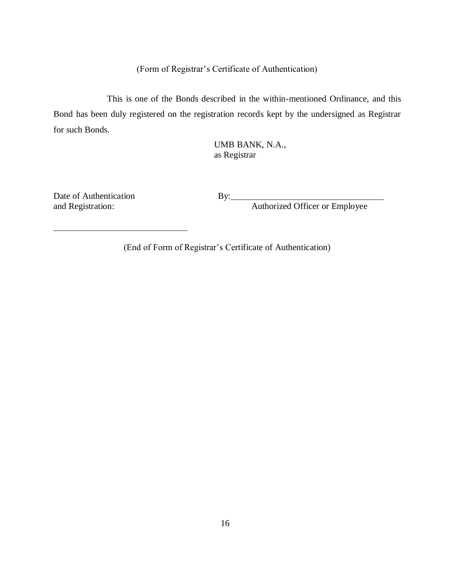# (Form of Registrar's Certificate of Authentication)

This is one of the Bonds described in the within-mentioned Ordinance, and this Bond has been duly registered on the registration records kept by the undersigned as Registrar for such Bonds.

> UMB BANK, N.A., as Registrar

Date of Authentication and Registration:

 $By:$ 

Authorized Officer or Employee

(End of Form of Registrar's Certificate of Authentication)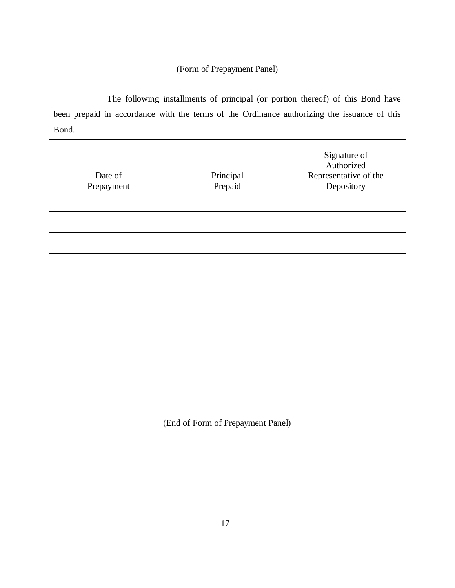# (Form of Prepayment Panel)

The following installments of principal (or portion thereof) of this Bond have been prepaid in accordance with the terms of the Ordinance authorizing the issuance of this Bond.

| Date of<br>Prepayment | Principal<br>Prepaid | Signature of<br>Authorized<br>Representative of the<br>Depository |
|-----------------------|----------------------|-------------------------------------------------------------------|
|                       |                      |                                                                   |
|                       |                      |                                                                   |
|                       |                      |                                                                   |

(End of Form of Prepayment Panel)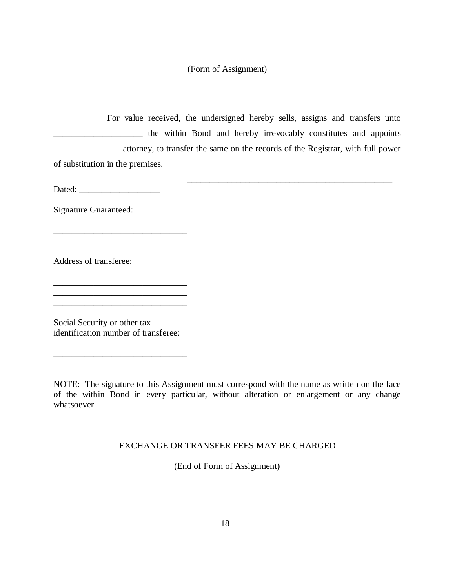#### (Form of Assignment)

For value received, the undersigned hereby sells, assigns and transfers unto **Example 1** the within Bond and hereby irrevocably constitutes and appoints \_\_\_\_\_\_\_\_\_\_\_\_\_\_\_ attorney, to transfer the same on the records of the Registrar, with full power of substitution in the premises. \_\_\_\_\_\_\_\_\_\_\_\_\_\_\_\_\_\_\_\_\_\_\_\_\_\_\_\_\_\_\_\_\_\_\_\_\_\_\_\_\_\_\_\_\_\_

Dated:

Signature Guaranteed:

Address of transferee:

Social Security or other tax identification number of transferee:

\_\_\_\_\_\_\_\_\_\_\_\_\_\_\_\_\_\_\_\_\_\_\_\_\_\_\_\_\_\_

\_\_\_\_\_\_\_\_\_\_\_\_\_\_\_\_\_\_\_\_\_\_\_\_\_\_\_\_\_\_

\_\_\_\_\_\_\_\_\_\_\_\_\_\_\_\_\_\_\_\_\_\_\_\_\_\_\_\_\_\_ \_\_\_\_\_\_\_\_\_\_\_\_\_\_\_\_\_\_\_\_\_\_\_\_\_\_\_\_\_\_ \_\_\_\_\_\_\_\_\_\_\_\_\_\_\_\_\_\_\_\_\_\_\_\_\_\_\_\_\_\_

NOTE: The signature to this Assignment must correspond with the name as written on the face of the within Bond in every particular, without alteration or enlargement or any change whatsoever.

#### EXCHANGE OR TRANSFER FEES MAY BE CHARGED

(End of Form of Assignment)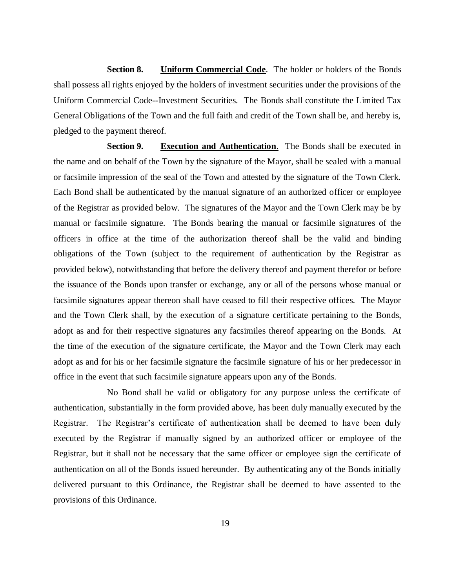**Section 8. Uniform Commercial Code**. The holder or holders of the Bonds shall possess all rights enjoyed by the holders of investment securities under the provisions of the Uniform Commercial Code--Investment Securities. The Bonds shall constitute the Limited Tax General Obligations of the Town and the full faith and credit of the Town shall be, and hereby is, pledged to the payment thereof.

**Section 9. Execution and Authentication.** The Bonds shall be executed in the name and on behalf of the Town by the signature of the Mayor, shall be sealed with a manual or facsimile impression of the seal of the Town and attested by the signature of the Town Clerk. Each Bond shall be authenticated by the manual signature of an authorized officer or employee of the Registrar as provided below. The signatures of the Mayor and the Town Clerk may be by manual or facsimile signature. The Bonds bearing the manual or facsimile signatures of the officers in office at the time of the authorization thereof shall be the valid and binding obligations of the Town (subject to the requirement of authentication by the Registrar as provided below), notwithstanding that before the delivery thereof and payment therefor or before the issuance of the Bonds upon transfer or exchange, any or all of the persons whose manual or facsimile signatures appear thereon shall have ceased to fill their respective offices. The Mayor and the Town Clerk shall, by the execution of a signature certificate pertaining to the Bonds, adopt as and for their respective signatures any facsimiles thereof appearing on the Bonds. At the time of the execution of the signature certificate, the Mayor and the Town Clerk may each adopt as and for his or her facsimile signature the facsimile signature of his or her predecessor in office in the event that such facsimile signature appears upon any of the Bonds.

No Bond shall be valid or obligatory for any purpose unless the certificate of authentication, substantially in the form provided above, has been duly manually executed by the Registrar. The Registrar's certificate of authentication shall be deemed to have been duly executed by the Registrar if manually signed by an authorized officer or employee of the Registrar, but it shall not be necessary that the same officer or employee sign the certificate of authentication on all of the Bonds issued hereunder. By authenticating any of the Bonds initially delivered pursuant to this Ordinance, the Registrar shall be deemed to have assented to the provisions of this Ordinance.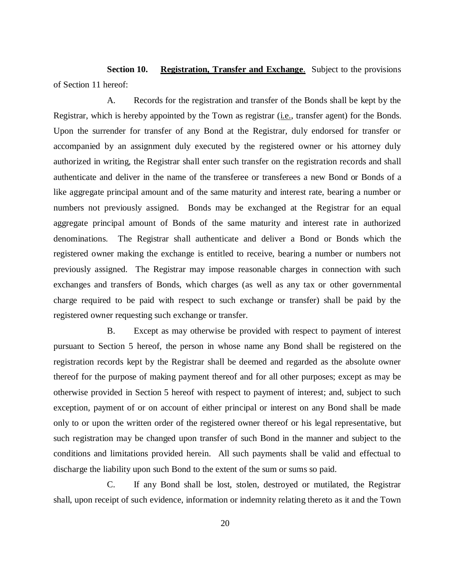**Section 10. Registration, Transfer and Exchange.** Subject to the provisions of Section 11 hereof:

A. Records for the registration and transfer of the Bonds shall be kept by the Registrar, which is hereby appointed by the Town as registrar (i.e., transfer agent) for the Bonds. Upon the surrender for transfer of any Bond at the Registrar, duly endorsed for transfer or accompanied by an assignment duly executed by the registered owner or his attorney duly authorized in writing, the Registrar shall enter such transfer on the registration records and shall authenticate and deliver in the name of the transferee or transferees a new Bond or Bonds of a like aggregate principal amount and of the same maturity and interest rate, bearing a number or numbers not previously assigned. Bonds may be exchanged at the Registrar for an equal aggregate principal amount of Bonds of the same maturity and interest rate in authorized denominations. The Registrar shall authenticate and deliver a Bond or Bonds which the registered owner making the exchange is entitled to receive, bearing a number or numbers not previously assigned. The Registrar may impose reasonable charges in connection with such exchanges and transfers of Bonds, which charges (as well as any tax or other governmental charge required to be paid with respect to such exchange or transfer) shall be paid by the registered owner requesting such exchange or transfer.

B. Except as may otherwise be provided with respect to payment of interest pursuant to Section 5 hereof, the person in whose name any Bond shall be registered on the registration records kept by the Registrar shall be deemed and regarded as the absolute owner thereof for the purpose of making payment thereof and for all other purposes; except as may be otherwise provided in Section 5 hereof with respect to payment of interest; and, subject to such exception, payment of or on account of either principal or interest on any Bond shall be made only to or upon the written order of the registered owner thereof or his legal representative, but such registration may be changed upon transfer of such Bond in the manner and subject to the conditions and limitations provided herein. All such payments shall be valid and effectual to discharge the liability upon such Bond to the extent of the sum or sums so paid.

C. If any Bond shall be lost, stolen, destroyed or mutilated, the Registrar shall, upon receipt of such evidence, information or indemnity relating thereto as it and the Town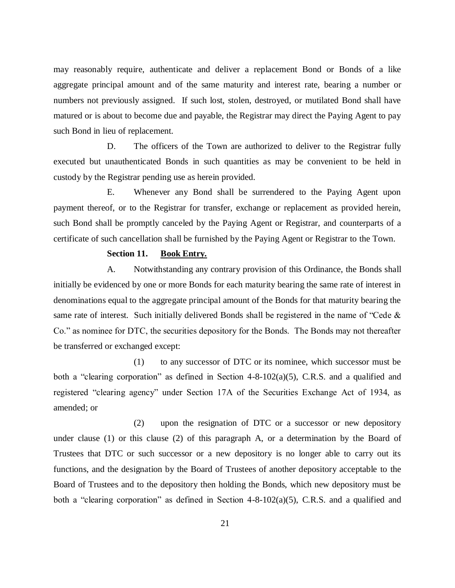may reasonably require, authenticate and deliver a replacement Bond or Bonds of a like aggregate principal amount and of the same maturity and interest rate, bearing a number or numbers not previously assigned. If such lost, stolen, destroyed, or mutilated Bond shall have matured or is about to become due and payable, the Registrar may direct the Paying Agent to pay such Bond in lieu of replacement.

D. The officers of the Town are authorized to deliver to the Registrar fully executed but unauthenticated Bonds in such quantities as may be convenient to be held in custody by the Registrar pending use as herein provided.

E. Whenever any Bond shall be surrendered to the Paying Agent upon payment thereof, or to the Registrar for transfer, exchange or replacement as provided herein, such Bond shall be promptly canceled by the Paying Agent or Registrar, and counterparts of a certificate of such cancellation shall be furnished by the Paying Agent or Registrar to the Town.

#### **Section 11. Book Entry.**

A. Notwithstanding any contrary provision of this Ordinance, the Bonds shall initially be evidenced by one or more Bonds for each maturity bearing the same rate of interest in denominations equal to the aggregate principal amount of the Bonds for that maturity bearing the same rate of interest. Such initially delivered Bonds shall be registered in the name of "Cede & Co." as nominee for DTC, the securities depository for the Bonds. The Bonds may not thereafter be transferred or exchanged except:

(1) to any successor of DTC or its nominee, which successor must be both a "clearing corporation" as defined in Section 4-8-102(a)(5), C.R.S. and a qualified and registered "clearing agency" under Section 17A of the Securities Exchange Act of 1934, as amended; or

(2) upon the resignation of DTC or a successor or new depository under clause (1) or this clause (2) of this paragraph A, or a determination by the Board of Trustees that DTC or such successor or a new depository is no longer able to carry out its functions, and the designation by the Board of Trustees of another depository acceptable to the Board of Trustees and to the depository then holding the Bonds, which new depository must be both a "clearing corporation" as defined in Section 4-8-102(a)(5), C.R.S. and a qualified and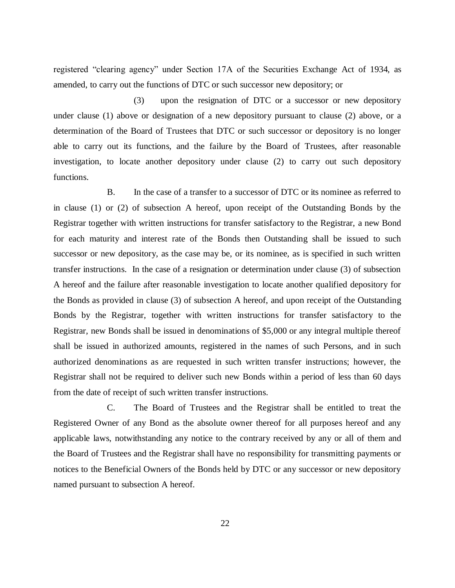registered "clearing agency" under Section 17A of the Securities Exchange Act of 1934, as amended, to carry out the functions of DTC or such successor new depository; or

(3) upon the resignation of DTC or a successor or new depository under clause (1) above or designation of a new depository pursuant to clause (2) above, or a determination of the Board of Trustees that DTC or such successor or depository is no longer able to carry out its functions, and the failure by the Board of Trustees, after reasonable investigation, to locate another depository under clause (2) to carry out such depository functions.

B. In the case of a transfer to a successor of DTC or its nominee as referred to in clause (1) or (2) of subsection A hereof, upon receipt of the Outstanding Bonds by the Registrar together with written instructions for transfer satisfactory to the Registrar, a new Bond for each maturity and interest rate of the Bonds then Outstanding shall be issued to such successor or new depository, as the case may be, or its nominee, as is specified in such written transfer instructions. In the case of a resignation or determination under clause (3) of subsection A hereof and the failure after reasonable investigation to locate another qualified depository for the Bonds as provided in clause (3) of subsection A hereof, and upon receipt of the Outstanding Bonds by the Registrar, together with written instructions for transfer satisfactory to the Registrar, new Bonds shall be issued in denominations of \$5,000 or any integral multiple thereof shall be issued in authorized amounts, registered in the names of such Persons, and in such authorized denominations as are requested in such written transfer instructions; however, the Registrar shall not be required to deliver such new Bonds within a period of less than 60 days from the date of receipt of such written transfer instructions.

C. The Board of Trustees and the Registrar shall be entitled to treat the Registered Owner of any Bond as the absolute owner thereof for all purposes hereof and any applicable laws, notwithstanding any notice to the contrary received by any or all of them and the Board of Trustees and the Registrar shall have no responsibility for transmitting payments or notices to the Beneficial Owners of the Bonds held by DTC or any successor or new depository named pursuant to subsection A hereof.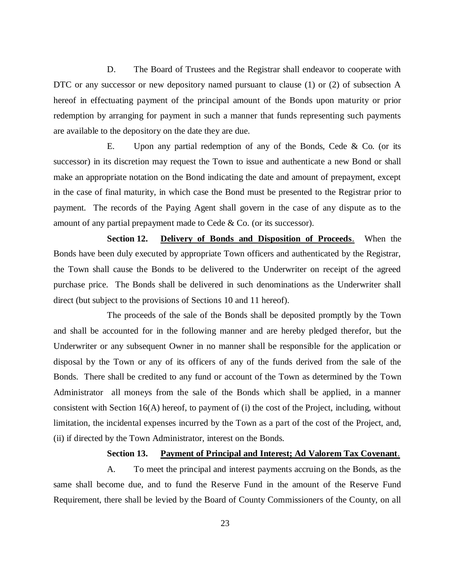D. The Board of Trustees and the Registrar shall endeavor to cooperate with DTC or any successor or new depository named pursuant to clause (1) or (2) of subsection A hereof in effectuating payment of the principal amount of the Bonds upon maturity or prior redemption by arranging for payment in such a manner that funds representing such payments are available to the depository on the date they are due.

E. Upon any partial redemption of any of the Bonds, Cede & Co. (or its successor) in its discretion may request the Town to issue and authenticate a new Bond or shall make an appropriate notation on the Bond indicating the date and amount of prepayment, except in the case of final maturity, in which case the Bond must be presented to the Registrar prior to payment. The records of the Paying Agent shall govern in the case of any dispute as to the amount of any partial prepayment made to Cede & Co. (or its successor).

**Section 12. Delivery of Bonds and Disposition of Proceeds**. When the Bonds have been duly executed by appropriate Town officers and authenticated by the Registrar, the Town shall cause the Bonds to be delivered to the Underwriter on receipt of the agreed purchase price. The Bonds shall be delivered in such denominations as the Underwriter shall direct (but subject to the provisions of Sections 10 and 11 hereof).

The proceeds of the sale of the Bonds shall be deposited promptly by the Town and shall be accounted for in the following manner and are hereby pledged therefor, but the Underwriter or any subsequent Owner in no manner shall be responsible for the application or disposal by the Town or any of its officers of any of the funds derived from the sale of the Bonds. There shall be credited to any fund or account of the Town as determined by the Town Administrator all moneys from the sale of the Bonds which shall be applied, in a manner consistent with Section 16(A) hereof, to payment of (i) the cost of the Project, including, without limitation, the incidental expenses incurred by the Town as a part of the cost of the Project, and, (ii) if directed by the Town Administrator, interest on the Bonds.

#### **Section 13. Payment of Principal and Interest; Ad Valorem Tax Covenant**.

A. To meet the principal and interest payments accruing on the Bonds, as the same shall become due, and to fund the Reserve Fund in the amount of the Reserve Fund Requirement, there shall be levied by the Board of County Commissioners of the County, on all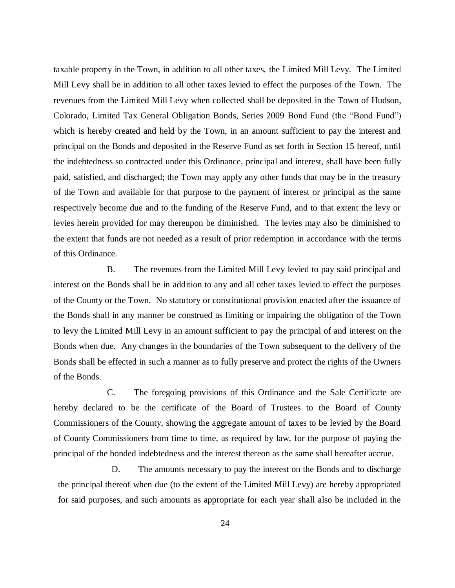taxable property in the Town, in addition to all other taxes, the Limited Mill Levy. The Limited Mill Levy shall be in addition to all other taxes levied to effect the purposes of the Town. The revenues from the Limited Mill Levy when collected shall be deposited in the Town of Hudson, Colorado, Limited Tax General Obligation Bonds, Series 2009 Bond Fund (the "Bond Fund") which is hereby created and held by the Town, in an amount sufficient to pay the interest and principal on the Bonds and deposited in the Reserve Fund as set forth in Section 15 hereof, until the indebtedness so contracted under this Ordinance, principal and interest, shall have been fully paid, satisfied, and discharged; the Town may apply any other funds that may be in the treasury of the Town and available for that purpose to the payment of interest or principal as the same respectively become due and to the funding of the Reserve Fund, and to that extent the levy or levies herein provided for may thereupon be diminished. The levies may also be diminished to the extent that funds are not needed as a result of prior redemption in accordance with the terms of this Ordinance.

B. The revenues from the Limited Mill Levy levied to pay said principal and interest on the Bonds shall be in addition to any and all other taxes levied to effect the purposes of the County or the Town. No statutory or constitutional provision enacted after the issuance of the Bonds shall in any manner be construed as limiting or impairing the obligation of the Town to levy the Limited Mill Levy in an amount sufficient to pay the principal of and interest on the Bonds when due. Any changes in the boundaries of the Town subsequent to the delivery of the Bonds shall be effected in such a manner as to fully preserve and protect the rights of the Owners of the Bonds.

C. The foregoing provisions of this Ordinance and the Sale Certificate are hereby declared to be the certificate of the Board of Trustees to the Board of County Commissioners of the County, showing the aggregate amount of taxes to be levied by the Board of County Commissioners from time to time, as required by law, for the purpose of paying the principal of the bonded indebtedness and the interest thereon as the same shall hereafter accrue.

D. The amounts necessary to pay the interest on the Bonds and to discharge the principal thereof when due (to the extent of the Limited Mill Levy) are hereby appropriated for said purposes, and such amounts as appropriate for each year shall also be included in the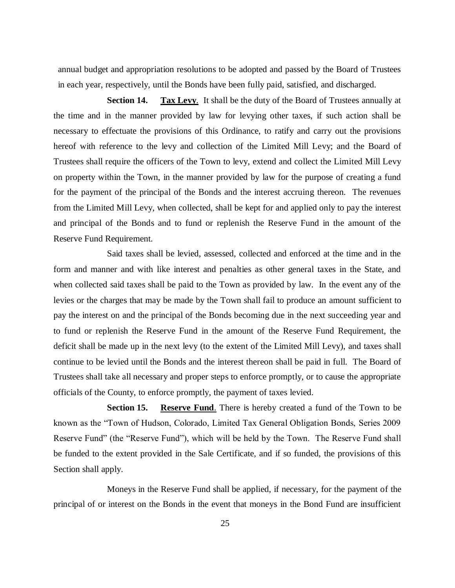annual budget and appropriation resolutions to be adopted and passed by the Board of Trustees in each year, respectively, until the Bonds have been fully paid, satisfied, and discharged.

**Section 14. Tax Levy**. It shall be the duty of the Board of Trustees annually at the time and in the manner provided by law for levying other taxes, if such action shall be necessary to effectuate the provisions of this Ordinance, to ratify and carry out the provisions hereof with reference to the levy and collection of the Limited Mill Levy; and the Board of Trustees shall require the officers of the Town to levy, extend and collect the Limited Mill Levy on property within the Town, in the manner provided by law for the purpose of creating a fund for the payment of the principal of the Bonds and the interest accruing thereon. The revenues from the Limited Mill Levy, when collected, shall be kept for and applied only to pay the interest and principal of the Bonds and to fund or replenish the Reserve Fund in the amount of the Reserve Fund Requirement.

Said taxes shall be levied, assessed, collected and enforced at the time and in the form and manner and with like interest and penalties as other general taxes in the State, and when collected said taxes shall be paid to the Town as provided by law. In the event any of the levies or the charges that may be made by the Town shall fail to produce an amount sufficient to pay the interest on and the principal of the Bonds becoming due in the next succeeding year and to fund or replenish the Reserve Fund in the amount of the Reserve Fund Requirement, the deficit shall be made up in the next levy (to the extent of the Limited Mill Levy), and taxes shall continue to be levied until the Bonds and the interest thereon shall be paid in full. The Board of Trustees shall take all necessary and proper steps to enforce promptly, or to cause the appropriate officials of the County, to enforce promptly, the payment of taxes levied.

**Section 15. Reserve Fund**. There is hereby created a fund of the Town to be known as the "Town of Hudson, Colorado, Limited Tax General Obligation Bonds, Series 2009 Reserve Fund" (the "Reserve Fund"), which will be held by the Town. The Reserve Fund shall be funded to the extent provided in the Sale Certificate, and if so funded, the provisions of this Section shall apply.

Moneys in the Reserve Fund shall be applied, if necessary, for the payment of the principal of or interest on the Bonds in the event that moneys in the Bond Fund are insufficient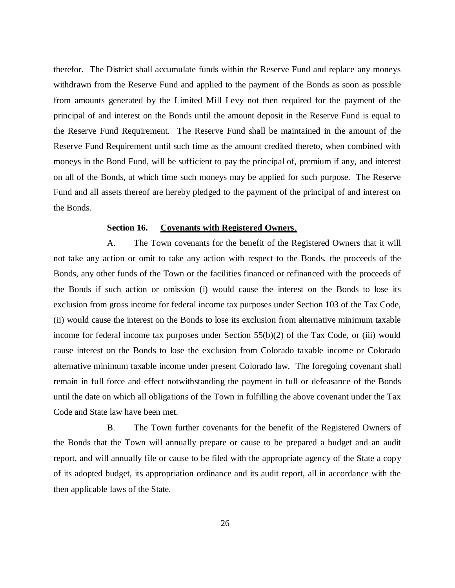therefor. The District shall accumulate funds within the Reserve Fund and replace any moneys withdrawn from the Reserve Fund and applied to the payment of the Bonds as soon as possible from amounts generated by the Limited Mill Levy not then required for the payment of the principal of and interest on the Bonds until the amount deposit in the Reserve Fund is equal to the Reserve Fund Requirement. The Reserve Fund shall be maintained in the amount of the Reserve Fund Requirement until such time as the amount credited thereto, when combined with moneys in the Bond Fund, will be sufficient to pay the principal of, premium if any, and interest on all of the Bonds, at which time such moneys may be applied for such purpose. The Reserve Fund and all assets thereof are hereby pledged to the payment of the principal of and interest on the Bonds.

#### **Section 16. Covenants with Registered Owners**.

A. The Town covenants for the benefit of the Registered Owners that it will not take any action or omit to take any action with respect to the Bonds, the proceeds of the Bonds, any other funds of the Town or the facilities financed or refinanced with the proceeds of the Bonds if such action or omission (i) would cause the interest on the Bonds to lose its exclusion from gross income for federal income tax purposes under Section 103 of the Tax Code, (ii) would cause the interest on the Bonds to lose its exclusion from alternative minimum taxable income for federal income tax purposes under Section 55(b)(2) of the Tax Code, or (iii) would cause interest on the Bonds to lose the exclusion from Colorado taxable income or Colorado alternative minimum taxable income under present Colorado law. The foregoing covenant shall remain in full force and effect notwithstanding the payment in full or defeasance of the Bonds until the date on which all obligations of the Town in fulfilling the above covenant under the Tax Code and State law have been met.

B. The Town further covenants for the benefit of the Registered Owners of the Bonds that the Town will annually prepare or cause to be prepared a budget and an audit report, and will annually file or cause to be filed with the appropriate agency of the State a copy of its adopted budget, its appropriation ordinance and its audit report, all in accordance with the then applicable laws of the State.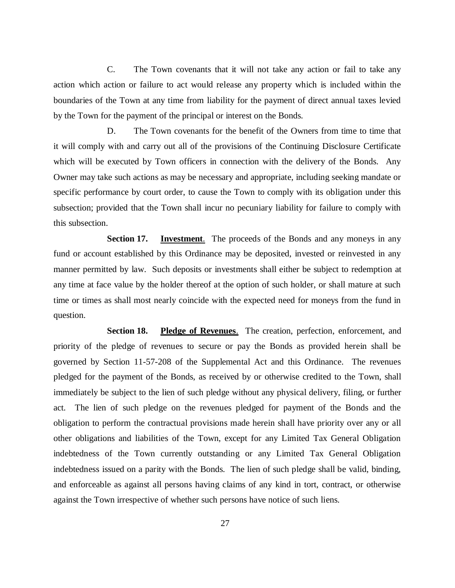C. The Town covenants that it will not take any action or fail to take any action which action or failure to act would release any property which is included within the boundaries of the Town at any time from liability for the payment of direct annual taxes levied by the Town for the payment of the principal or interest on the Bonds.

D. The Town covenants for the benefit of the Owners from time to time that it will comply with and carry out all of the provisions of the Continuing Disclosure Certificate which will be executed by Town officers in connection with the delivery of the Bonds. Any Owner may take such actions as may be necessary and appropriate, including seeking mandate or specific performance by court order, to cause the Town to comply with its obligation under this subsection; provided that the Town shall incur no pecuniary liability for failure to comply with this subsection.

**Section 17. Investment**. The proceeds of the Bonds and any moneys in any fund or account established by this Ordinance may be deposited, invested or reinvested in any manner permitted by law. Such deposits or investments shall either be subject to redemption at any time at face value by the holder thereof at the option of such holder, or shall mature at such time or times as shall most nearly coincide with the expected need for moneys from the fund in question.

**Section 18. Pledge of Revenues**. The creation, perfection, enforcement, and priority of the pledge of revenues to secure or pay the Bonds as provided herein shall be governed by Section 11-57-208 of the Supplemental Act and this Ordinance. The revenues pledged for the payment of the Bonds, as received by or otherwise credited to the Town, shall immediately be subject to the lien of such pledge without any physical delivery, filing, or further act. The lien of such pledge on the revenues pledged for payment of the Bonds and the obligation to perform the contractual provisions made herein shall have priority over any or all other obligations and liabilities of the Town, except for any Limited Tax General Obligation indebtedness of the Town currently outstanding or any Limited Tax General Obligation indebtedness issued on a parity with the Bonds. The lien of such pledge shall be valid, binding, and enforceable as against all persons having claims of any kind in tort, contract, or otherwise against the Town irrespective of whether such persons have notice of such liens.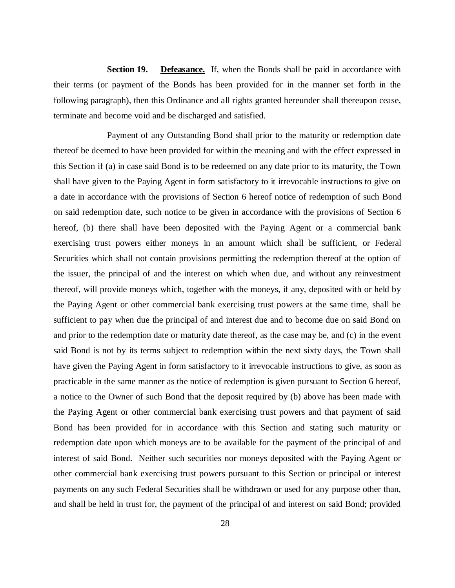**Section 19. Defeasance.** If, when the Bonds shall be paid in accordance with their terms (or payment of the Bonds has been provided for in the manner set forth in the following paragraph), then this Ordinance and all rights granted hereunder shall thereupon cease, terminate and become void and be discharged and satisfied.

Payment of any Outstanding Bond shall prior to the maturity or redemption date thereof be deemed to have been provided for within the meaning and with the effect expressed in this Section if (a) in case said Bond is to be redeemed on any date prior to its maturity, the Town shall have given to the Paying Agent in form satisfactory to it irrevocable instructions to give on a date in accordance with the provisions of Section 6 hereof notice of redemption of such Bond on said redemption date, such notice to be given in accordance with the provisions of Section 6 hereof, (b) there shall have been deposited with the Paying Agent or a commercial bank exercising trust powers either moneys in an amount which shall be sufficient, or Federal Securities which shall not contain provisions permitting the redemption thereof at the option of the issuer, the principal of and the interest on which when due, and without any reinvestment thereof, will provide moneys which, together with the moneys, if any, deposited with or held by the Paying Agent or other commercial bank exercising trust powers at the same time, shall be sufficient to pay when due the principal of and interest due and to become due on said Bond on and prior to the redemption date or maturity date thereof, as the case may be, and (c) in the event said Bond is not by its terms subject to redemption within the next sixty days, the Town shall have given the Paying Agent in form satisfactory to it irrevocable instructions to give, as soon as practicable in the same manner as the notice of redemption is given pursuant to Section 6 hereof, a notice to the Owner of such Bond that the deposit required by (b) above has been made with the Paying Agent or other commercial bank exercising trust powers and that payment of said Bond has been provided for in accordance with this Section and stating such maturity or redemption date upon which moneys are to be available for the payment of the principal of and interest of said Bond. Neither such securities nor moneys deposited with the Paying Agent or other commercial bank exercising trust powers pursuant to this Section or principal or interest payments on any such Federal Securities shall be withdrawn or used for any purpose other than, and shall be held in trust for, the payment of the principal of and interest on said Bond; provided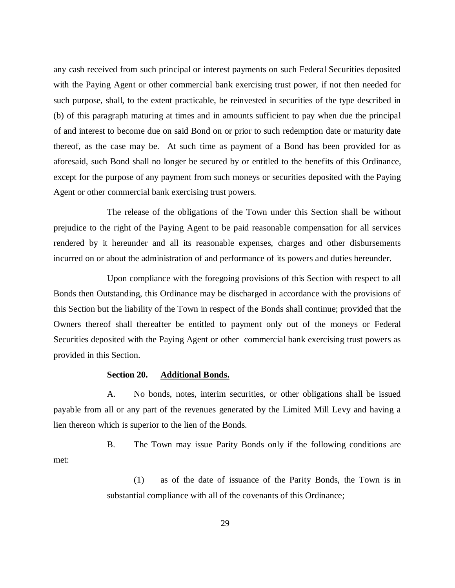any cash received from such principal or interest payments on such Federal Securities deposited with the Paying Agent or other commercial bank exercising trust power, if not then needed for such purpose, shall, to the extent practicable, be reinvested in securities of the type described in (b) of this paragraph maturing at times and in amounts sufficient to pay when due the principal of and interest to become due on said Bond on or prior to such redemption date or maturity date thereof, as the case may be. At such time as payment of a Bond has been provided for as aforesaid, such Bond shall no longer be secured by or entitled to the benefits of this Ordinance, except for the purpose of any payment from such moneys or securities deposited with the Paying Agent or other commercial bank exercising trust powers.

The release of the obligations of the Town under this Section shall be without prejudice to the right of the Paying Agent to be paid reasonable compensation for all services rendered by it hereunder and all its reasonable expenses, charges and other disbursements incurred on or about the administration of and performance of its powers and duties hereunder.

Upon compliance with the foregoing provisions of this Section with respect to all Bonds then Outstanding, this Ordinance may be discharged in accordance with the provisions of this Section but the liability of the Town in respect of the Bonds shall continue; provided that the Owners thereof shall thereafter be entitled to payment only out of the moneys or Federal Securities deposited with the Paying Agent or other commercial bank exercising trust powers as provided in this Section.

#### **Section 20. Additional Bonds.**

A. No bonds, notes, interim securities, or other obligations shall be issued payable from all or any part of the revenues generated by the Limited Mill Levy and having a lien thereon which is superior to the lien of the Bonds.

B. The Town may issue Parity Bonds only if the following conditions are met:

> (1) as of the date of issuance of the Parity Bonds, the Town is in substantial compliance with all of the covenants of this Ordinance;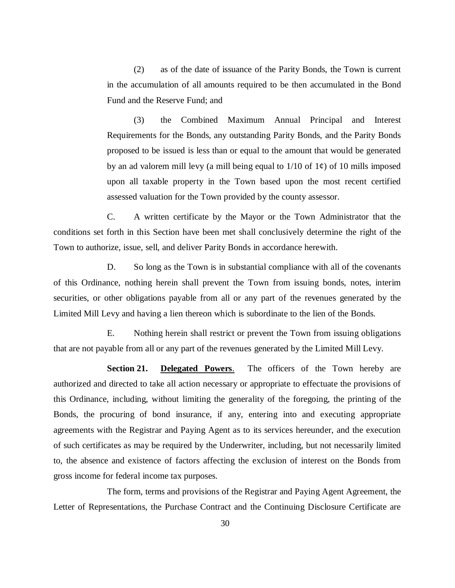(2) as of the date of issuance of the Parity Bonds, the Town is current in the accumulation of all amounts required to be then accumulated in the Bond Fund and the Reserve Fund; and

(3) the Combined Maximum Annual Principal and Interest Requirements for the Bonds, any outstanding Parity Bonds, and the Parity Bonds proposed to be issued is less than or equal to the amount that would be generated by an ad valorem mill levy (a mill being equal to  $1/10$  of  $1\phi$ ) of 10 mills imposed upon all taxable property in the Town based upon the most recent certified assessed valuation for the Town provided by the county assessor.

C. A written certificate by the Mayor or the Town Administrator that the conditions set forth in this Section have been met shall conclusively determine the right of the Town to authorize, issue, sell, and deliver Parity Bonds in accordance herewith.

D. So long as the Town is in substantial compliance with all of the covenants of this Ordinance, nothing herein shall prevent the Town from issuing bonds, notes, interim securities, or other obligations payable from all or any part of the revenues generated by the Limited Mill Levy and having a lien thereon which is subordinate to the lien of the Bonds.

E. Nothing herein shall restrict or prevent the Town from issuing obligations that are not payable from all or any part of the revenues generated by the Limited Mill Levy.

**Section 21. Delegated Powers**. The officers of the Town hereby are authorized and directed to take all action necessary or appropriate to effectuate the provisions of this Ordinance, including, without limiting the generality of the foregoing, the printing of the Bonds, the procuring of bond insurance, if any, entering into and executing appropriate agreements with the Registrar and Paying Agent as to its services hereunder, and the execution of such certificates as may be required by the Underwriter, including, but not necessarily limited to, the absence and existence of factors affecting the exclusion of interest on the Bonds from gross income for federal income tax purposes.

The form, terms and provisions of the Registrar and Paying Agent Agreement, the Letter of Representations, the Purchase Contract and the Continuing Disclosure Certificate are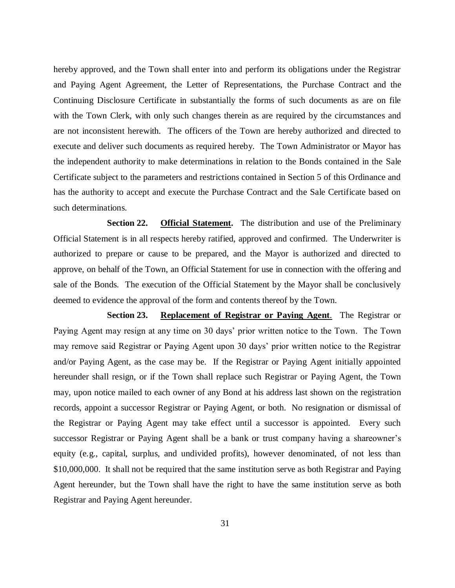hereby approved, and the Town shall enter into and perform its obligations under the Registrar and Paying Agent Agreement, the Letter of Representations, the Purchase Contract and the Continuing Disclosure Certificate in substantially the forms of such documents as are on file with the Town Clerk, with only such changes therein as are required by the circumstances and are not inconsistent herewith. The officers of the Town are hereby authorized and directed to execute and deliver such documents as required hereby. The Town Administrator or Mayor has the independent authority to make determinations in relation to the Bonds contained in the Sale Certificate subject to the parameters and restrictions contained in Section 5 of this Ordinance and has the authority to accept and execute the Purchase Contract and the Sale Certificate based on such determinations.

**Section 22. Official Statement.** The distribution and use of the Preliminary Official Statement is in all respects hereby ratified, approved and confirmed. The Underwriter is authorized to prepare or cause to be prepared, and the Mayor is authorized and directed to approve, on behalf of the Town, an Official Statement for use in connection with the offering and sale of the Bonds. The execution of the Official Statement by the Mayor shall be conclusively deemed to evidence the approval of the form and contents thereof by the Town.

**Section 23. Replacement of Registrar or Paying Agent**. The Registrar or Paying Agent may resign at any time on 30 days' prior written notice to the Town. The Town may remove said Registrar or Paying Agent upon 30 days' prior written notice to the Registrar and/or Paying Agent, as the case may be. If the Registrar or Paying Agent initially appointed hereunder shall resign, or if the Town shall replace such Registrar or Paying Agent, the Town may, upon notice mailed to each owner of any Bond at his address last shown on the registration records, appoint a successor Registrar or Paying Agent, or both. No resignation or dismissal of the Registrar or Paying Agent may take effect until a successor is appointed. Every such successor Registrar or Paying Agent shall be a bank or trust company having a shareowner's equity (e.g., capital, surplus, and undivided profits), however denominated, of not less than \$10,000,000. It shall not be required that the same institution serve as both Registrar and Paying Agent hereunder, but the Town shall have the right to have the same institution serve as both Registrar and Paying Agent hereunder.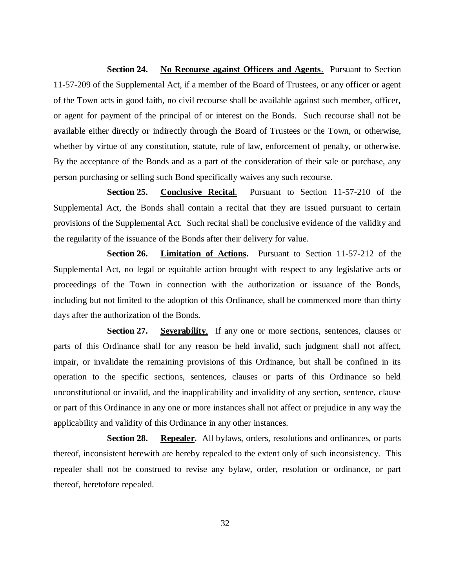**Section 24.** No Recourse against Officers and Agents. Pursuant to Section 11-57-209 of the Supplemental Act, if a member of the Board of Trustees, or any officer or agent of the Town acts in good faith, no civil recourse shall be available against such member, officer, or agent for payment of the principal of or interest on the Bonds. Such recourse shall not be available either directly or indirectly through the Board of Trustees or the Town, or otherwise, whether by virtue of any constitution, statute, rule of law, enforcement of penalty, or otherwise. By the acceptance of the Bonds and as a part of the consideration of their sale or purchase, any person purchasing or selling such Bond specifically waives any such recourse.

**Section 25. Conclusive Recital**. Pursuant to Section 11-57-210 of the Supplemental Act, the Bonds shall contain a recital that they are issued pursuant to certain provisions of the Supplemental Act. Such recital shall be conclusive evidence of the validity and the regularity of the issuance of the Bonds after their delivery for value.

**Section 26. Limitation of Actions.** Pursuant to Section 11-57-212 of the Supplemental Act, no legal or equitable action brought with respect to any legislative acts or proceedings of the Town in connection with the authorization or issuance of the Bonds, including but not limited to the adoption of this Ordinance, shall be commenced more than thirty days after the authorization of the Bonds.

**Section 27. Severability**. If any one or more sections, sentences, clauses or parts of this Ordinance shall for any reason be held invalid, such judgment shall not affect, impair, or invalidate the remaining provisions of this Ordinance, but shall be confined in its operation to the specific sections, sentences, clauses or parts of this Ordinance so held unconstitutional or invalid, and the inapplicability and invalidity of any section, sentence, clause or part of this Ordinance in any one or more instances shall not affect or prejudice in any way the applicability and validity of this Ordinance in any other instances.

**Section 28. Repealer.** All bylaws, orders, resolutions and ordinances, or parts thereof, inconsistent herewith are hereby repealed to the extent only of such inconsistency. This repealer shall not be construed to revise any bylaw, order, resolution or ordinance, or part thereof, heretofore repealed.

32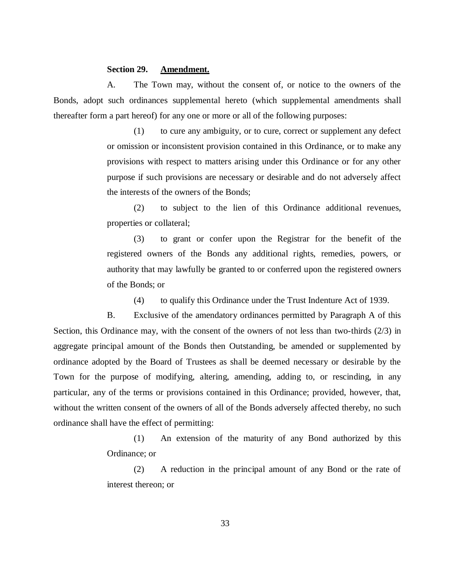### **Section 29. Amendment.**

A. The Town may, without the consent of, or notice to the owners of the Bonds, adopt such ordinances supplemental hereto (which supplemental amendments shall thereafter form a part hereof) for any one or more or all of the following purposes:

> (1) to cure any ambiguity, or to cure, correct or supplement any defect or omission or inconsistent provision contained in this Ordinance, or to make any provisions with respect to matters arising under this Ordinance or for any other purpose if such provisions are necessary or desirable and do not adversely affect the interests of the owners of the Bonds;

> (2) to subject to the lien of this Ordinance additional revenues, properties or collateral;

> (3) to grant or confer upon the Registrar for the benefit of the registered owners of the Bonds any additional rights, remedies, powers, or authority that may lawfully be granted to or conferred upon the registered owners of the Bonds; or

(4) to qualify this Ordinance under the Trust Indenture Act of 1939.

B. Exclusive of the amendatory ordinances permitted by Paragraph A of this Section, this Ordinance may, with the consent of the owners of not less than two-thirds (2/3) in aggregate principal amount of the Bonds then Outstanding, be amended or supplemented by ordinance adopted by the Board of Trustees as shall be deemed necessary or desirable by the Town for the purpose of modifying, altering, amending, adding to, or rescinding, in any particular, any of the terms or provisions contained in this Ordinance; provided, however, that, without the written consent of the owners of all of the Bonds adversely affected thereby, no such ordinance shall have the effect of permitting:

> (1) An extension of the maturity of any Bond authorized by this Ordinance; or

> (2) A reduction in the principal amount of any Bond or the rate of interest thereon; or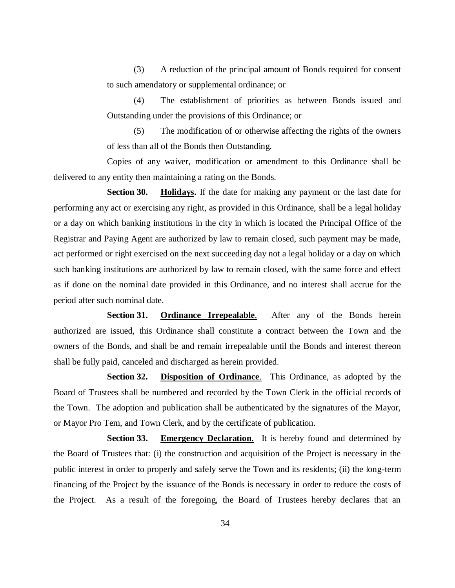(3) A reduction of the principal amount of Bonds required for consent to such amendatory or supplemental ordinance; or

(4) The establishment of priorities as between Bonds issued and Outstanding under the provisions of this Ordinance; or

(5) The modification of or otherwise affecting the rights of the owners of less than all of the Bonds then Outstanding.

Copies of any waiver, modification or amendment to this Ordinance shall be delivered to any entity then maintaining a rating on the Bonds.

**Section 30. Holidays.** If the date for making any payment or the last date for performing any act or exercising any right, as provided in this Ordinance, shall be a legal holiday or a day on which banking institutions in the city in which is located the Principal Office of the Registrar and Paying Agent are authorized by law to remain closed, such payment may be made, act performed or right exercised on the next succeeding day not a legal holiday or a day on which such banking institutions are authorized by law to remain closed, with the same force and effect as if done on the nominal date provided in this Ordinance, and no interest shall accrue for the period after such nominal date.

**Section 31. Ordinance Irrepealable**. After any of the Bonds herein authorized are issued, this Ordinance shall constitute a contract between the Town and the owners of the Bonds, and shall be and remain irrepealable until the Bonds and interest thereon shall be fully paid, canceled and discharged as herein provided.

**Section 32. Disposition of Ordinance**. This Ordinance, as adopted by the Board of Trustees shall be numbered and recorded by the Town Clerk in the official records of the Town. The adoption and publication shall be authenticated by the signatures of the Mayor, or Mayor Pro Tem, and Town Clerk, and by the certificate of publication.

**Section 33. Emergency Declaration**. It is hereby found and determined by the Board of Trustees that: (i) the construction and acquisition of the Project is necessary in the public interest in order to properly and safely serve the Town and its residents; (ii) the long-term financing of the Project by the issuance of the Bonds is necessary in order to reduce the costs of the Project. As a result of the foregoing, the Board of Trustees hereby declares that an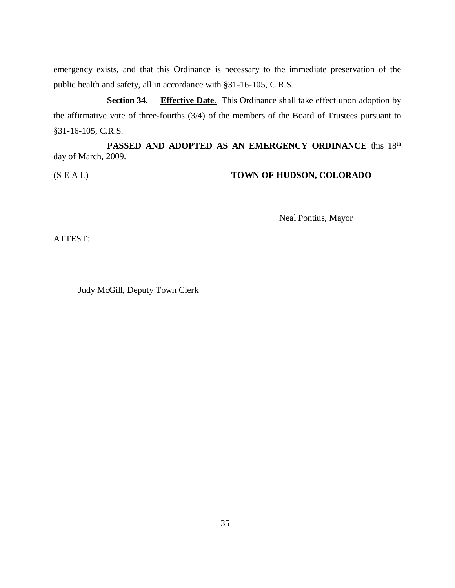emergency exists, and that this Ordinance is necessary to the immediate preservation of the public health and safety, all in accordance with §31-16-105, C.R.S.

**Section 34. Effective Date**. This Ordinance shall take effect upon adoption by the affirmative vote of three-fourths (3/4) of the members of the Board of Trustees pursuant to §31-16-105, C.R.S.

PASSED AND ADOPTED AS AN EMERGENCY ORDINANCE this 18<sup>th</sup> day of March, 2009.

(S E A L) **TOWN OF HUDSON, COLORADO**

Neal Pontius, Mayor

ATTEST:

\_\_\_\_\_\_\_\_\_\_\_\_\_\_\_\_\_\_\_\_\_\_\_\_\_\_\_\_\_\_\_\_\_\_\_\_ Judy McGill, Deputy Town Clerk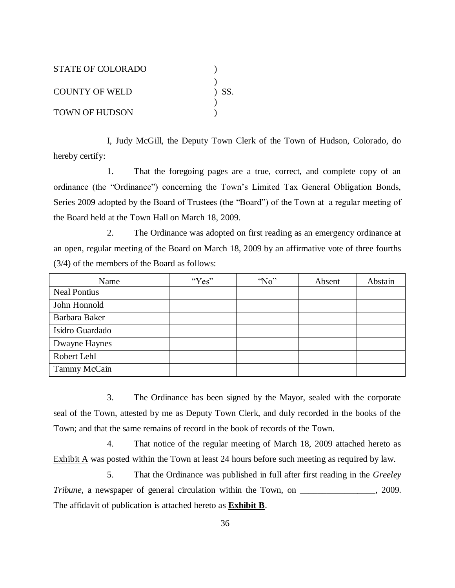| STATE OF COLORADO     |         |
|-----------------------|---------|
|                       |         |
| COUNTY OF WELD        | $)$ SS. |
|                       |         |
| <b>TOWN OF HUDSON</b> |         |

I, Judy McGill, the Deputy Town Clerk of the Town of Hudson, Colorado, do hereby certify:

1. That the foregoing pages are a true, correct, and complete copy of an ordinance (the "Ordinance") concerning the Town's Limited Tax General Obligation Bonds, Series 2009 adopted by the Board of Trustees (the "Board") of the Town at a regular meeting of the Board held at the Town Hall on March 18, 2009.

2. The Ordinance was adopted on first reading as an emergency ordinance at an open, regular meeting of the Board on March 18, 2009 by an affirmative vote of three fourths (3/4) of the members of the Board as follows:

| Name                | "Yes" | $^{\circ}$ No" | Absent | Abstain |
|---------------------|-------|----------------|--------|---------|
| <b>Neal Pontius</b> |       |                |        |         |
| John Honnold        |       |                |        |         |
| Barbara Baker       |       |                |        |         |
| Isidro Guardado     |       |                |        |         |
| Dwayne Haynes       |       |                |        |         |
| Robert Lehl         |       |                |        |         |
| Tammy McCain        |       |                |        |         |

3. The Ordinance has been signed by the Mayor, sealed with the corporate seal of the Town, attested by me as Deputy Town Clerk, and duly recorded in the books of the Town; and that the same remains of record in the book of records of the Town.

4. That notice of the regular meeting of March 18, 2009 attached hereto as Exhibit  $\overline{A}$  was posted within the Town at least 24 hours before such meeting as required by law.

5. That the Ordinance was published in full after first reading in the *Greeley Tribune*, a newspaper of general circulation within the Town, on \_\_\_\_\_\_\_\_\_\_\_\_\_\_, 2009. The affidavit of publication is attached hereto as **Exhibit B**.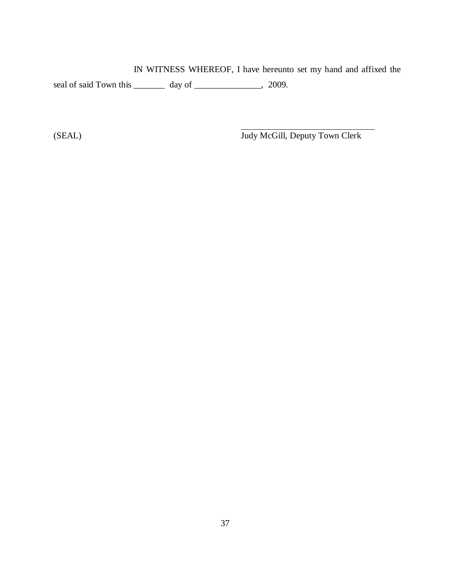IN WITNESS WHEREOF, I have hereunto set my hand and affixed the seal of said Town this \_\_\_\_\_\_\_ day of \_\_\_\_\_\_\_\_\_\_\_\_, 2009.

(SEAL) Judy McGill, Deputy Town Clerk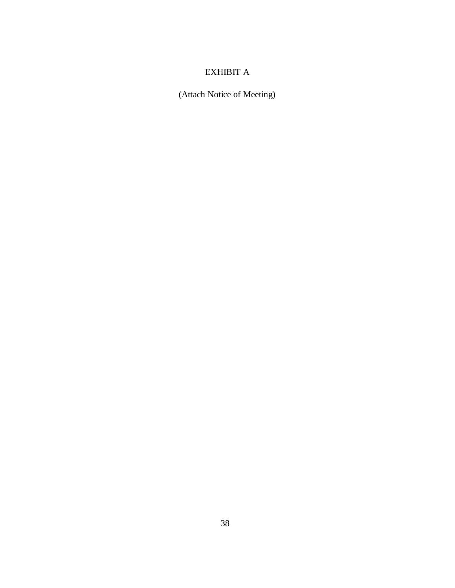# EXHIBIT A

(Attach Notice of Meeting)